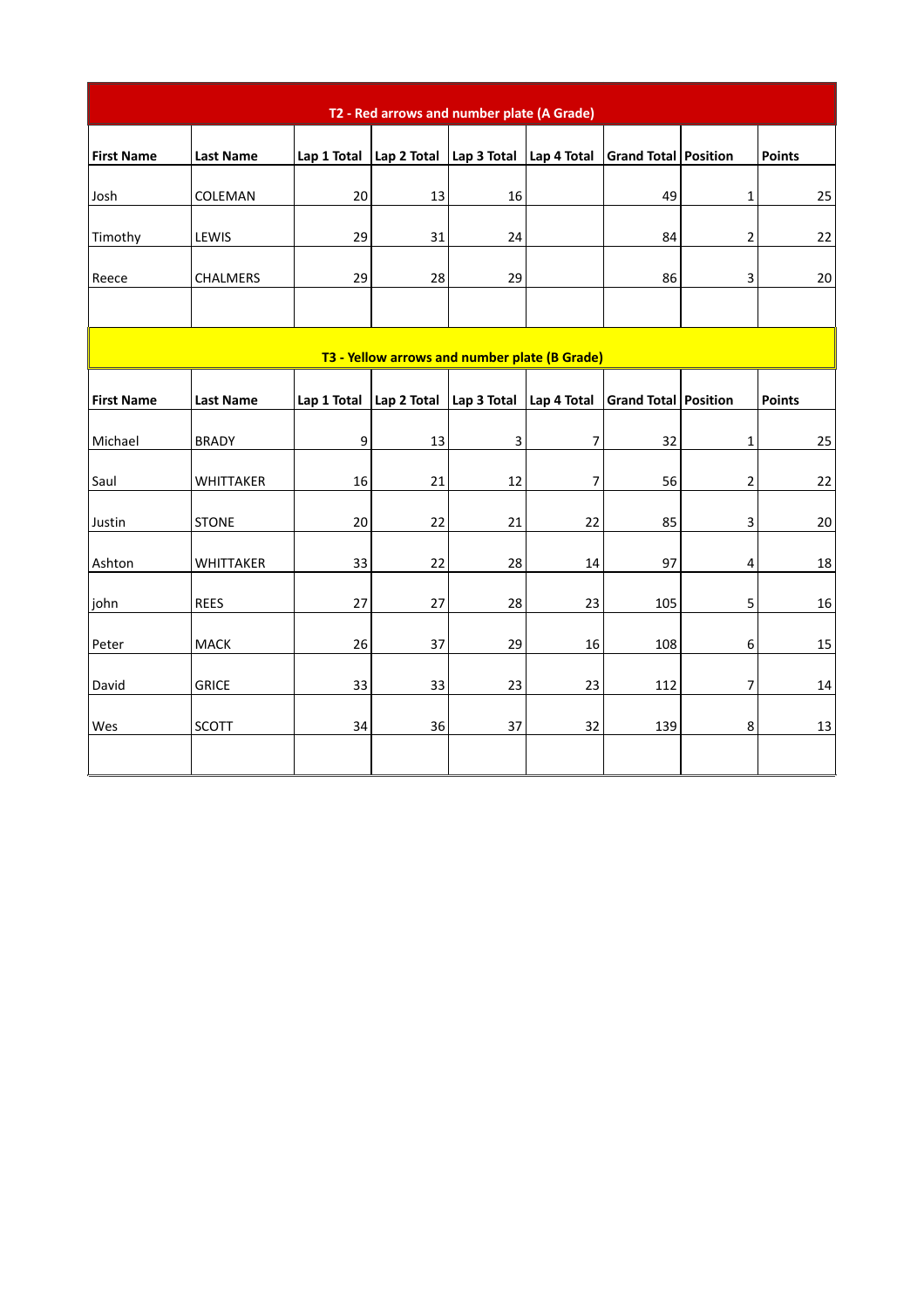| T2 - Red arrows and number plate (A Grade)    |                  |             |                                                             |                |                |                             |                |               |
|-----------------------------------------------|------------------|-------------|-------------------------------------------------------------|----------------|----------------|-----------------------------|----------------|---------------|
| <b>First Name</b>                             | <b>Last Name</b> | Lap 1 Total | Lap 2 Total Lap 3 Total                                     |                | Lap 4 Total    | Grand Total Position        |                | <b>Points</b> |
| Josh                                          | COLEMAN          | 20          | 13                                                          | 16             |                | 49                          | $\mathbf 1$    | 25            |
| Timothy                                       | LEWIS            | 29          | 31                                                          | 24             |                | 84                          | $\overline{2}$ | 22            |
| Reece                                         | CHALMERS         | 29          | 28                                                          | 29             |                | 86                          | 3              | 20            |
|                                               |                  |             |                                                             |                |                |                             |                |               |
| T3 - Yellow arrows and number plate (B Grade) |                  |             |                                                             |                |                |                             |                |               |
| <b>First Name</b>                             | <b>Last Name</b> | Lap 1 Total | $\vert$ Lap 2 Total $\vert$ Lap 3 Total $\vert$ Lap 4 Total |                |                | <b>Grand Total Position</b> |                | <b>Points</b> |
| Michael                                       | <b>BRADY</b>     | 9           | 13                                                          | $\overline{3}$ | $\overline{7}$ | 32                          | $\mathbf{1}$   | 25            |
| Saul                                          | WHITTAKER        | 16          | 21                                                          | 12             | $\overline{7}$ | 56                          | $\overline{2}$ | 22            |
| Justin                                        | <b>STONE</b>     | 20          | 22                                                          | 21             | 22             | 85                          | 3              | 20            |
| Ashton                                        | WHITTAKER        | 33          | 22                                                          | 28             | 14             | 97                          | $\overline{4}$ | 18            |
| john                                          | <b>REES</b>      | 27          | 27                                                          | 28             | 23             | 105                         | 5              | 16            |
| Peter                                         | MACK             | 26          | 37                                                          | 29             | 16             | 108                         | 6              | 15            |
| David                                         | <b>GRICE</b>     | 33          | 33                                                          | 23             | 23             | 112                         | $\overline{7}$ | 14            |
| Wes                                           | SCOTT            | 34          | 36                                                          | 37             | 32             | 139                         | 8              | 13            |
|                                               |                  |             |                                                             |                |                |                             |                |               |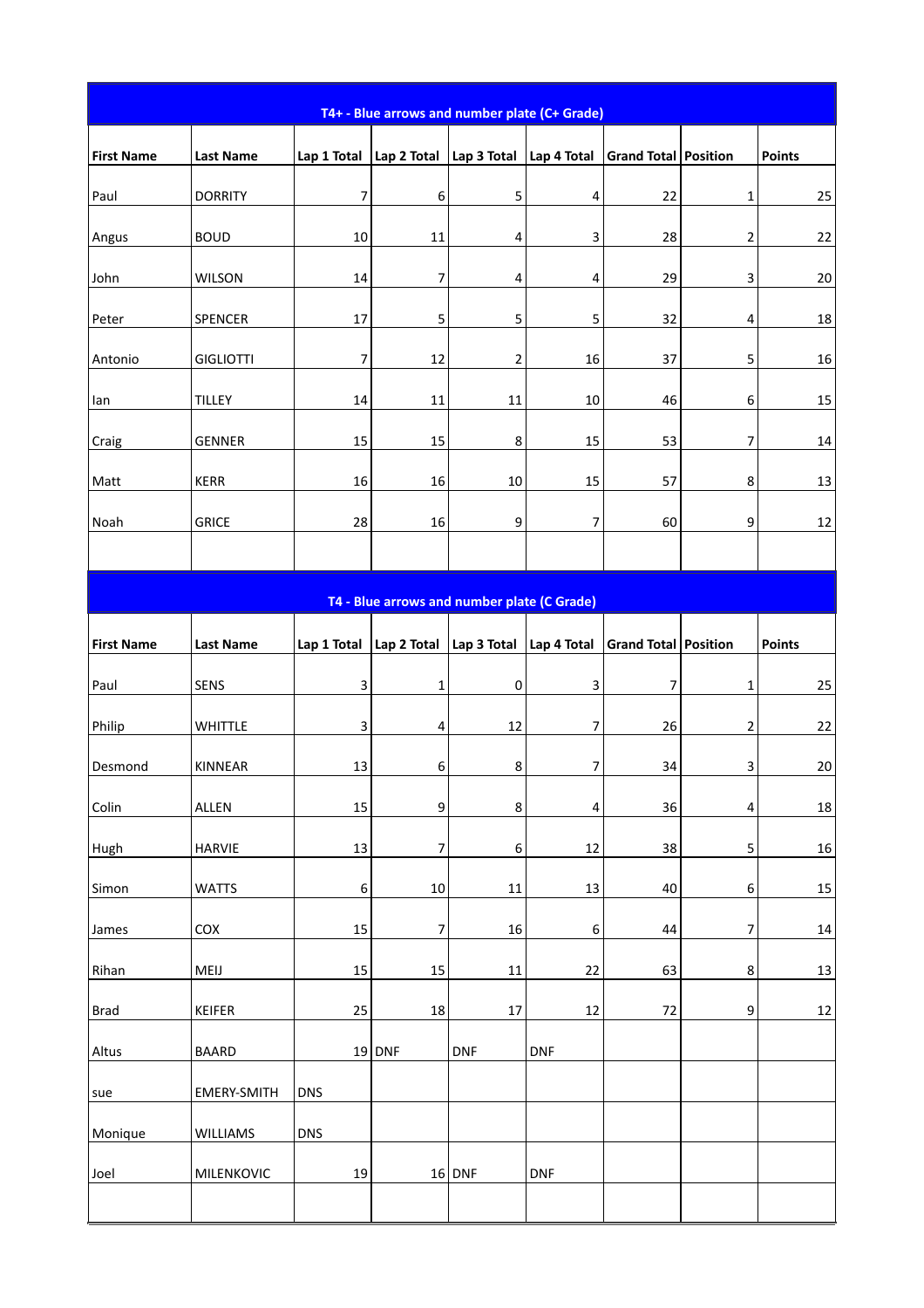| T4+ - Blue arrows and number plate (C+ Grade) |                    |             |             |                                             |             |                      |                  |               |
|-----------------------------------------------|--------------------|-------------|-------------|---------------------------------------------|-------------|----------------------|------------------|---------------|
| <b>First Name</b>                             | <b>Last Name</b>   | Lap 1 Total | Lap 2 Total | Lap 3 Total                                 | Lap 4 Total | Grand Total Position |                  | <b>Points</b> |
| Paul                                          | <b>DORRITY</b>     | 7           | 6           | 5                                           | 4           | 22                   | $\mathbf{1}$     | 25            |
| Angus                                         | <b>BOUD</b>        | 10          | 11          | 4                                           | 3           | 28                   | $\overline{2}$   | 22            |
| John                                          | WILSON             | 14          | 7           | 4                                           | 4           | 29                   | 3                | 20            |
| Peter                                         | SPENCER            | 17          | $\mathsf S$ | 5                                           | 5           | 32                   | 4                | $18\,$        |
| Antonio                                       | <b>GIGLIOTTI</b>   | 7           | 12          | $\overline{\mathbf{c}}$                     | 16          | 37                   | 5                | 16            |
| lan                                           | <b>TILLEY</b>      | 14          | 11          | 11                                          | 10          | 46                   | $\boldsymbol{6}$ | 15            |
| Craig                                         | <b>GENNER</b>      | 15          | 15          | 8                                           | 15          | 53                   | $\overline{7}$   | 14            |
| Matt                                          | <b>KERR</b>        | 16          | 16          | 10                                          | 15          | 57                   | 8                | 13            |
| Noah                                          | GRICE              | 28          | 16          | 9                                           | 7           | 60                   | 9                | 12            |
|                                               |                    |             |             |                                             |             |                      |                  |               |
|                                               |                    |             |             | T4 - Blue arrows and number plate (C Grade) |             |                      |                  |               |
| <b>First Name</b>                             | <b>Last Name</b>   | Lap 1 Total | Lap 2 Total | Lap 3 Total                                 | Lap 4 Total | Grand Total Position |                  | <b>Points</b> |
| Paul                                          | SENS               | 3           | $\mathbf 1$ | 0                                           | 3           | 7                    | $\mathbf{1}$     | 25            |
| Philip                                        | <b>WHITTLE</b>     | 3           | 4           | 12                                          | 7           | 26                   | $\overline{2}$   | 22            |
| Desmond                                       | KINNEAR            | 13          | 6           | 8                                           | 7           | 34                   | 3                | $20\,$        |
| Colin                                         | ALLEN              | 15          | 9           | 8                                           | 4           | 36                   | 4                | 18            |
| Hugh                                          | <b>HARVIE</b>      | 13          | 7           | 6                                           | 12          | 38                   | 5                | 16            |
| Simon                                         | <b>WATTS</b>       | 6           | 10          | 11                                          | 13          | 40                   | 6                | 15            |
| James                                         | COX                | 15          | 7           | 16                                          | 6           | 44                   | 7                | 14            |
| Rihan                                         | MEIJ               | 15          | 15          | 11                                          | 22          | 63                   | 8                | 13            |
| <b>Brad</b>                                   | KEIFER             | 25          | 18          | 17                                          | 12          | 72                   | 9                | 12            |
| Altus                                         | <b>BAARD</b>       |             | 19 DNF      | <b>DNF</b>                                  | <b>DNF</b>  |                      |                  |               |
| sue                                           | <b>EMERY-SMITH</b> | <b>DNS</b>  |             |                                             |             |                      |                  |               |
| Monique                                       | WILLIAMS           | <b>DNS</b>  |             |                                             |             |                      |                  |               |
| Joel                                          | MILENKOVIC         | 19          |             | 16 DNF                                      | <b>DNF</b>  |                      |                  |               |
|                                               |                    |             |             |                                             |             |                      |                  |               |